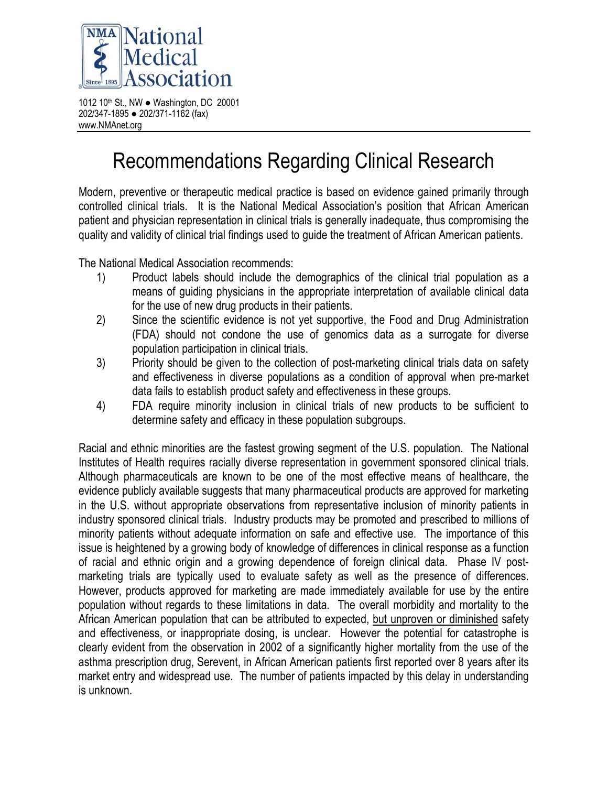

1012 10th St., NW ● Washington, DC 20001 202/347-1895 ● 202/371-1162 (fax) www.NMAnet.org

## Recommendations Regarding Clinical Research

Modern, preventive or therapeutic medical practice is based on evidence gained primarily through controlled clinical trials. It is the National Medical Association's position that African American patient and physician representation in clinical trials is generally inadequate, thus compromising the quality and validity of clinical trial findings used to guide the treatment of African American patients.

The National Medical Association recommends:

- 1) Product labels should include the demographics of the clinical trial population as a means of guiding physicians in the appropriate interpretation of available clinical data for the use of new drug products in their patients.
- 2) Since the scientific evidence is not yet supportive, the Food and Drug Administration (FDA) should not condone the use of genomics data as a surrogate for diverse population participation in clinical trials.
- 3) Priority should be given to the collection of post-marketing clinical trials data on safety and effectiveness in diverse populations as a condition of approval when pre-market data fails to establish product safety and effectiveness in these groups.
- 4) FDA require minority inclusion in clinical trials of new products to be sufficient to determine safety and efficacy in these population subgroups.

Racial and ethnic minorities are the fastest growing segment of the U.S. population. The National Institutes of Health requires racially diverse representation in government sponsored clinical trials. Although pharmaceuticals are known to be one of the most effective means of healthcare, the evidence publicly available suggests that many pharmaceutical products are approved for marketing in the U.S. without appropriate observations from representative inclusion of minority patients in industry sponsored clinical trials. Industry products may be promoted and prescribed to millions of minority patients without adequate information on safe and effective use. The importance of this issue is heightened by a growing body of knowledge of differences in clinical response as a function of racial and ethnic origin and a growing dependence of foreign clinical data. Phase IV postmarketing trials are typically used to evaluate safety as well as the presence of differences. However, products approved for marketing are made immediately available for use by the entire population without regards to these limitations in data. The overall morbidity and mortality to the African American population that can be attributed to expected, but unproven or diminished safety and effectiveness, or inappropriate dosing, is unclear. However the potential for catastrophe is clearly evident from the observation in 2002 of a significantly higher mortality from the use of the asthma prescription drug, Serevent, in African American patients first reported over 8 years after its market entry and widespread use. The number of patients impacted by this delay in understanding is unknown.